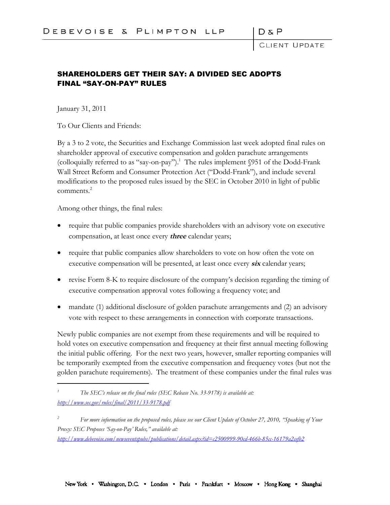CLIENT UPDATE

## SHAREHOLDERS GET THEIR SAY: A DIVIDED SEC ADOPTS FINAL "SAY-ON-PAY" RULES

January 31, 2011

To Our Clients and Friends:

By a 3 to 2 vote, the Securities and Exchange Commission last week adopted final rules on shareholder approval of executive compensation and golden parachute arrangements (colloquially referred to as "say-on-pay").<sup>1</sup> The rules implement  $$951$  of the Dodd-Frank Wall Street Reform and Consumer Protection Act ("Dodd-Frank"), and include several modifications to the proposed rules issued by the SEC in October 2010 in light of public comments.<sup>2</sup>

Among other things, the final rules:

- require that public companies provide shareholders with an advisory vote on executive compensation, at least once every **three** calendar years;
- require that public companies allow shareholders to vote on how often the vote on executive compensation will be presented, at least once every **six** calendar years;
- revise Form 8-K to require disclosure of the company's decision regarding the timing of executive compensation approval votes following a frequency vote; and
- mandate (1) additional disclosure of golden parachute arrangements and (2) an advisory vote with respect to these arrangements in connection with corporate transactions.

Newly public companies are not exempt from these requirements and will be required to hold votes on executive compensation and frequency at their first annual meeting following the initial public offering. For the next two years, however, smaller reporting companies will be temporarily exempted from the executive compensation and frequency votes (but not the golden parachute requirements). The treatment of these companies under the final rules was

*<sup>1</sup> The SEC's release on the final rules (SEC Release No. 33-9178) is available at: http://www.sec.gov/rules/final/2011/33-9178.pdf*

*<sup>2</sup> For more information on the proposed rules, please see our Client Update of October 27, 2010, "Speaking of Your Proxy: SEC Proposes 'Say-on-Pay' Rules," available at: http://www.debevoise.com/newseventspubs/publications/detail.aspx?id=c2500999-90cd-466b-85cc-16179a2cefb2*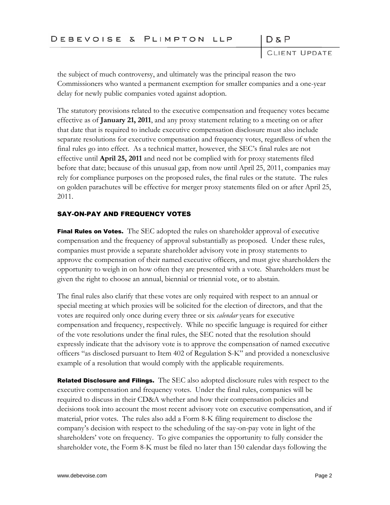CLIENT UPDATE

 $D \& P$ 

the subject of much controversy, and ultimately was the principal reason the two Commissioners who wanted a permanent exemption for smaller companies and a one-year delay for newly public companies voted against adoption.

The statutory provisions related to the executive compensation and frequency votes became effective as of **January 21, 2011**, and any proxy statement relating to a meeting on or after that date that is required to include executive compensation disclosure must also include separate resolutions for executive compensation and frequency votes, regardless of when the final rules go into effect. As a technical matter, however, the SEC's final rules are not effective until **April 25, 2011** and need not be complied with for proxy statements filed before that date; because of this unusual gap, from now until April 25, 2011, companies may rely for compliance purposes on the proposed rules, the final rules or the statute. The rules on golden parachutes will be effective for merger proxy statements filed on or after April 25, 2011.

## SAY-ON-PAY AND FREQUENCY VOTES

Final Rules on Votes. The SEC adopted the rules on shareholder approval of executive compensation and the frequency of approval substantially as proposed. Under these rules, companies must provide a separate shareholder advisory vote in proxy statements to approve the compensation of their named executive officers, and must give shareholders the opportunity to weigh in on how often they are presented with a vote. Shareholders must be given the right to choose an annual, biennial or triennial vote, or to abstain.

The final rules also clarify that these votes are only required with respect to an annual or special meeting at which proxies will be solicited for the election of directors, and that the votes are required only once during every three or six *calendar* years for executive compensation and frequency, respectively. While no specific language is required for either of the vote resolutions under the final rules, the SEC noted that the resolution should expressly indicate that the advisory vote is to approve the compensation of named executive officers "as disclosed pursuant to Item 402 of Regulation S-K" and provided a nonexclusive example of a resolution that would comply with the applicable requirements.

**Related Disclosure and Filings.** The SEC also adopted disclosure rules with respect to the executive compensation and frequency votes. Under the final rules, companies will be required to discuss in their CD&A whether and how their compensation policies and decisions took into account the most recent advisory vote on executive compensation, and if material, prior votes. The rules also add a Form 8-K filing requirement to disclose the company's decision with respect to the scheduling of the say-on-pay vote in light of the shareholders' vote on frequency. To give companies the opportunity to fully consider the shareholder vote, the Form 8-K must be filed no later than 150 calendar days following the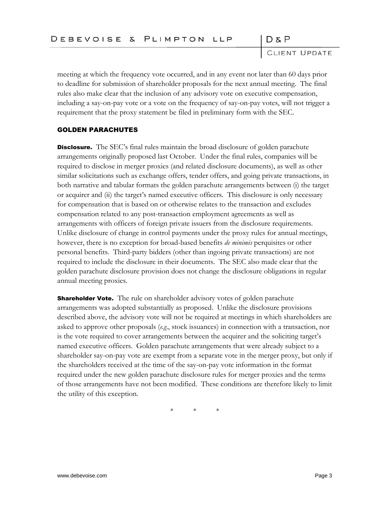$D \& P$ 

CLIENT UPDATE

meeting at which the frequency vote occurred, and in any event not later than 60 days prior to deadline for submission of shareholder proposals for the next annual meeting. The final rules also make clear that the inclusion of any advisory vote on executive compensation, including a say-on-pay vote or a vote on the frequency of say-on-pay votes, will not trigger a requirement that the proxy statement be filed in preliminary form with the SEC.

## GOLDEN PARACHUTES

**Disclosure.** The SEC's final rules maintain the broad disclosure of golden parachute arrangements originally proposed last October. Under the final rules, companies will be required to disclose in merger proxies (and related disclosure documents), as well as other similar solicitations such as exchange offers, tender offers, and going private transactions, in both narrative and tabular formats the golden parachute arrangements between (i) the target or acquirer and (ii) the target's named executive officers. This disclosure is only necessary for compensation that is based on or otherwise relates to the transaction and excludes compensation related to any post-transaction employment agreements as well as arrangements with officers of foreign private issuers from the disclosure requirements. Unlike disclosure of change in control payments under the proxy rules for annual meetings, however, there is no exception for broad-based benefits *de minimis* perquisites or other personal benefits. Third-party bidders (other than ingoing private transactions) are not required to include the disclosure in their documents. The SEC also made clear that the golden parachute disclosure provision does not change the disclosure obligations in regular annual meeting proxies.

**Shareholder Vote.** The rule on shareholder advisory votes of golden parachute arrangements was adopted substantially as proposed. Unlike the disclosure provisions described above, the advisory vote will not be required at meetings in which shareholders are asked to approve other proposals (*e.g*., stock issuances) in connection with a transaction, nor is the vote required to cover arrangements between the acquirer and the soliciting target's named executive officers. Golden parachute arrangements that were already subject to a shareholder say-on-pay vote are exempt from a separate vote in the merger proxy, but only if the shareholders received at the time of the say-on-pay vote information in the format required under the new golden parachute disclosure rules for merger proxies and the terms of those arrangements have not been modified. These conditions are therefore likely to limit the utility of this exception.

\* \* \*